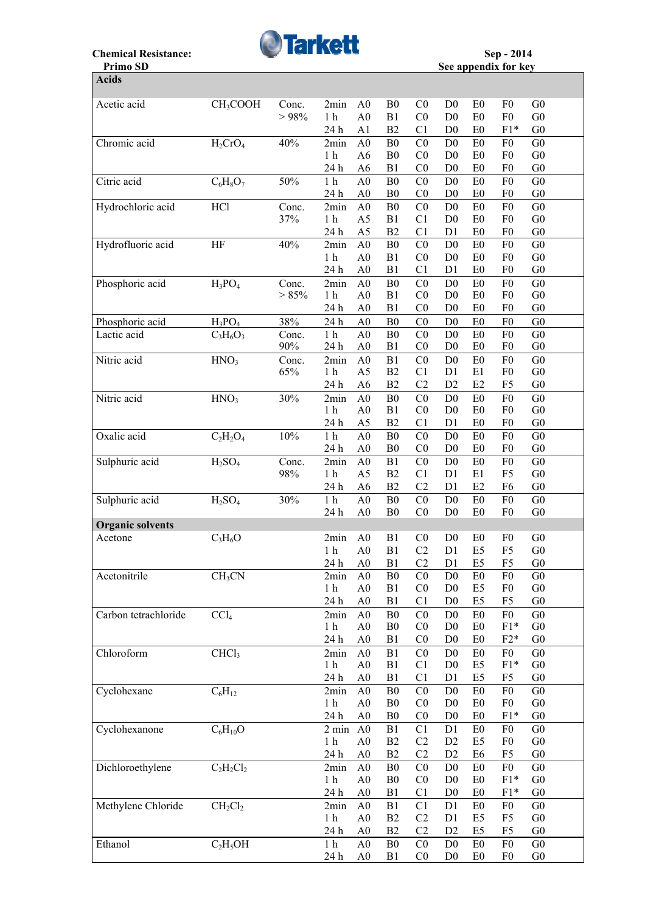

## **Primo SD** See appendix for key **Acids**  Acetic acid CH3COOH Conc. 2min A0 B0 C0 D0 E0 F0 G0  $> 98\%$  1 h A0 B1 C0 D0 E0 F0 G0 24 h A1 B2 C1 D0 E0 F1\* G0 Chromic acid H<sub>2</sub>CrO<sub>4</sub> 40% 2min A0 B0 C0 D0 E0 F0 G0 1h A6 B0 C0 D0 E0 F0 G0 1 h A6 B0 C0 D0 E0 F0 G0 24 h A6 B1 C0 D0 E0 F0 G0 Citric acid  $C_6H_8O_7$  50% 1 h A0 B0 C0 D0 E0 F0 G0 24 h A0 B0 C0 D0 E0 F0 G0 Hydrochloric acid HCl Conc. 2min A0 B0 C0 D0 E0 F0 G0 37% 1 h A5 B1 C1 D0 E0 F0 G0 24 h A5 B2 C1 D1 E0 F0 G0 Hydrofluoric acid HF 40% 2min A0 B0 C0 D0 E0 F0 G0 1 h A0 B1 C0 D0 E0 F0 G0 24 h A0 B1 C1 D1 E0 F0 G0 Phosphoric acid  $H_3PO_4$  Conc. 2min A0 B0 C0 D0 E0 F0 G0  $>85\%$  1h A0 B1 C0 D0 E0 F0 G0  $> 85\%$  1 h A0 B1 C0 D0 E0 F0 G0 24 h A0 B1 C0 D0 E0 F0 G0 Phosphoric acid  $H_3PO_4$  38% 24 h A0 B0 C0 D0 E0 F0 G0 Lactic acid  $C_3H_6O_3$  Conc. 1 h A0 B0 C0 D0 E0 F0 G0 90% 24 h A0 B1 C0 D0 E0 F0 G0 Nitric acid  $HNO<sub>3</sub>$  Conc. 2min A0 B1 C0 D0 E0 F0 G0 65% 1 h A5 B2 C1 D1 E1 F0 G0 24 h A6 B2 C2 D2 E2 F5 G0 Nitric acid  $HNO<sub>3</sub>$  30% 2min A0 B0 C0 D0 E0 F0 G0

| <b>NIUTIC aciu</b>      | $\mathbf{H} \mathbf{N} \mathbf{U}$ | $30\%$ | ∠mın                                                                                                                                               | AV             | DΩ             | ČŨ             | DV.            | ΕV             | ΓU             | Uν             |  |
|-------------------------|------------------------------------|--------|----------------------------------------------------------------------------------------------------------------------------------------------------|----------------|----------------|----------------|----------------|----------------|----------------|----------------|--|
|                         |                                    |        | 1 <sub>h</sub>                                                                                                                                     | A <sub>0</sub> | B1             | C <sub>0</sub> | D <sub>0</sub> | E <sub>0</sub> | F <sub>0</sub> | G <sub>0</sub> |  |
|                         |                                    |        | 24 h                                                                                                                                               | A5             | B2             | C <sub>1</sub> | D1             | E <sub>0</sub> | F <sub>0</sub> | G <sub>0</sub> |  |
| Oxalic acid             | $C_2H_2O_4$                        | 10%    | 1 <sub>h</sub>                                                                                                                                     | A <sub>0</sub> | B <sub>0</sub> | CO             | D <sub>0</sub> | E <sub>0</sub> | F <sub>0</sub> | G <sub>0</sub> |  |
|                         |                                    |        | 24 h                                                                                                                                               | A <sub>0</sub> | B <sub>0</sub> | C <sub>0</sub> | D <sub>0</sub> | E <sub>0</sub> | F <sub>0</sub> | G <sub>0</sub> |  |
| Sulphuric acid          | $H_2SO_4$                          | Conc.  | 2min                                                                                                                                               | A <sub>0</sub> | B1             | C <sub>0</sub> | D <sub>0</sub> | ${\rm E0}$     | F <sub>0</sub> | G <sub>0</sub> |  |
|                         |                                    | 98%    | $1\ \mathrm{h}$                                                                                                                                    | A <sub>5</sub> | B2             | C1             | D1             | E1             | F <sub>5</sub> | G <sub>0</sub> |  |
|                         |                                    |        | 24 h                                                                                                                                               | A <sub>6</sub> | B2             | C <sub>2</sub> | D <sub>1</sub> | E <sub>2</sub> | F <sub>6</sub> | G <sub>0</sub> |  |
|                         | H <sub>2</sub> SO <sub>4</sub>     | 30%    | 1 <sub>h</sub>                                                                                                                                     | A <sub>0</sub> | ${\bf B0}$     | C <sub>0</sub> | D <sub>0</sub> | E <sub>0</sub> | F <sub>0</sub> | G <sub>0</sub> |  |
|                         |                                    |        | 24 h                                                                                                                                               | A <sub>0</sub> | B <sub>0</sub> | C <sub>0</sub> | D <sub>0</sub> | E <sub>0</sub> | F <sub>0</sub> | G <sub>0</sub> |  |
| <b>Organic solvents</b> |                                    |        |                                                                                                                                                    |                |                |                |                |                |                |                |  |
| Acetone                 | $C_3H_6O$                          |        | 2min                                                                                                                                               | A <sub>0</sub> | B1             | C <sub>0</sub> | D <sub>0</sub> | E0             | ${\rm F0}$     | G <sub>0</sub> |  |
|                         |                                    |        |                                                                                                                                                    |                | B1             | C2             | D1             | E <sub>5</sub> | F <sub>5</sub> | G <sub>0</sub> |  |
|                         |                                    |        | 24 h                                                                                                                                               | A <sub>0</sub> | B1             | C <sub>2</sub> | D <sub>1</sub> | E <sub>5</sub> | F <sub>5</sub> | G <sub>0</sub> |  |
| Acetonitrile            | CH <sub>3</sub> CN                 |        | 2min                                                                                                                                               | A <sub>0</sub> | B <sub>0</sub> | CO             | D <sub>0</sub> | E <sub>0</sub> | F <sub>0</sub> | G <sub>0</sub> |  |
|                         |                                    |        | 1 <sub>h</sub>                                                                                                                                     | A <sub>0</sub> | B1             | C <sub>0</sub> | D <sub>0</sub> | E <sub>5</sub> | F <sub>0</sub> | G <sub>0</sub> |  |
|                         |                                    |        | 24 h                                                                                                                                               | A <sub>0</sub> | B1             | C1             | D <sub>0</sub> | E <sub>5</sub> | F <sub>5</sub> | G <sub>0</sub> |  |
| Carbon tetrachloride    | CCl <sub>4</sub>                   |        | 2min                                                                                                                                               | A <sub>0</sub> | ${\bf B0}$     | C <sub>0</sub> | D <sub>0</sub> | ${\rm E}0$     | F <sub>0</sub> | G <sub>0</sub> |  |
|                         |                                    |        | 1 <sub>h</sub>                                                                                                                                     | A <sub>0</sub> | ${\bf B0}$     | C <sub>0</sub> | D <sub>0</sub> | ${\rm E0}$     | $F1*$          | G <sub>0</sub> |  |
|                         |                                    |        | 24 h                                                                                                                                               | A <sub>0</sub> | B1             | C <sub>0</sub> | D <sub>0</sub> | E <sub>0</sub> | $F2*$          | G <sub>0</sub> |  |
| Chloroform              | CHCl <sub>3</sub>                  |        | 2min                                                                                                                                               | A <sub>0</sub> | B1             | C <sub>0</sub> | D <sub>0</sub> | E0             | F <sub>0</sub> | G <sub>0</sub> |  |
|                         |                                    |        | 1 <sub>h</sub>                                                                                                                                     | A <sub>0</sub> | B1             | C1             | D <sub>0</sub> | E <sub>5</sub> | $F1*$          | G <sub>0</sub> |  |
|                         |                                    |        | 24 h                                                                                                                                               | A <sub>0</sub> | B1             | C1             | D1             | E <sub>5</sub> | F <sub>5</sub> | G <sub>0</sub> |  |
| Cyclohexane             | $C_6H_{12}$                        |        | 2min                                                                                                                                               | A <sub>0</sub> | B <sub>0</sub> | C <sub>0</sub> | D <sub>0</sub> | E <sub>0</sub> | F <sub>0</sub> | G <sub>0</sub> |  |
|                         |                                    |        | 1 <sub>h</sub>                                                                                                                                     | A <sub>0</sub> | B <sub>0</sub> | CO             | D <sub>0</sub> | E0             | F <sub>0</sub> | G <sub>0</sub> |  |
|                         |                                    |        | 24 h                                                                                                                                               | A <sub>0</sub> | B <sub>0</sub> | C <sub>0</sub> | D <sub>0</sub> | E <sub>0</sub> | $F1*$          | G <sub>0</sub> |  |
| Cyclohexanone           | $\overline{C}_6H_{10}O$            |        | 2 min                                                                                                                                              | A <sub>0</sub> | B1             | C <sub>1</sub> | D1             | E <sub>0</sub> | F <sub>0</sub> | G <sub>0</sub> |  |
|                         |                                    |        | 1 <sub>h</sub>                                                                                                                                     | A <sub>0</sub> | B2             | C2             | D2             | E <sub>5</sub> | F <sub>0</sub> | G <sub>0</sub> |  |
|                         |                                    |        | 24 h                                                                                                                                               | A <sub>0</sub> | B2             | C2             | D2             | E <sub>6</sub> | F <sub>5</sub> | G <sub>0</sub> |  |
| Dichloroethylene        | $C_2H_2Cl_2$                       |        | 2min                                                                                                                                               | A <sub>0</sub> | ${\bf B0}$     | C <sub>0</sub> | D <sub>0</sub> | ${\rm E}0$     | F <sub>0</sub> | G <sub>0</sub> |  |
|                         |                                    |        | 1 <sub>h</sub>                                                                                                                                     | A <sub>0</sub> | ${\bf B0}$     | C <sub>0</sub> | D <sub>0</sub> | E <sub>0</sub> | $F1*$          | G <sub>0</sub> |  |
|                         |                                    |        | 24 h                                                                                                                                               | A <sub>0</sub> | B1             | C1             | D <sub>0</sub> | E <sub>0</sub> | $F1*$          | G <sub>0</sub> |  |
| Methylene Chloride      | CH <sub>2</sub> Cl <sub>2</sub>    |        | 2min                                                                                                                                               | A <sub>0</sub> | B1             | C <sub>1</sub> | D1             | E0             | F <sub>0</sub> | G <sub>0</sub> |  |
|                         |                                    |        | 1 <sub>h</sub>                                                                                                                                     | A <sub>0</sub> | B <sub>2</sub> | C2             | D1             | E <sub>5</sub> | F <sub>5</sub> | G <sub>0</sub> |  |
|                         |                                    |        | 1 <sub>h</sub><br>A <sub>0</sub><br>24 h<br>A <sub>0</sub><br>B2<br>1 <sub>h</sub><br>A <sub>0</sub><br>${\bf B0}$<br>24 h<br>A <sub>0</sub><br>B1 |                | C <sub>2</sub> | D2             | E <sub>5</sub> | F <sub>5</sub> | ${\rm G0}$     |                |  |
| Ethanol                 | $C_2H_5OH$                         |        |                                                                                                                                                    |                |                | C <sub>0</sub> | D <sub>0</sub> | E0             | F <sub>0</sub> | G <sub>0</sub> |  |
| Sulphuric acid          |                                    |        |                                                                                                                                                    |                |                | C <sub>0</sub> | D <sub>0</sub> | E <sub>0</sub> | F <sub>0</sub> | G <sub>0</sub> |  |
|                         |                                    |        |                                                                                                                                                    |                |                |                |                |                |                |                |  |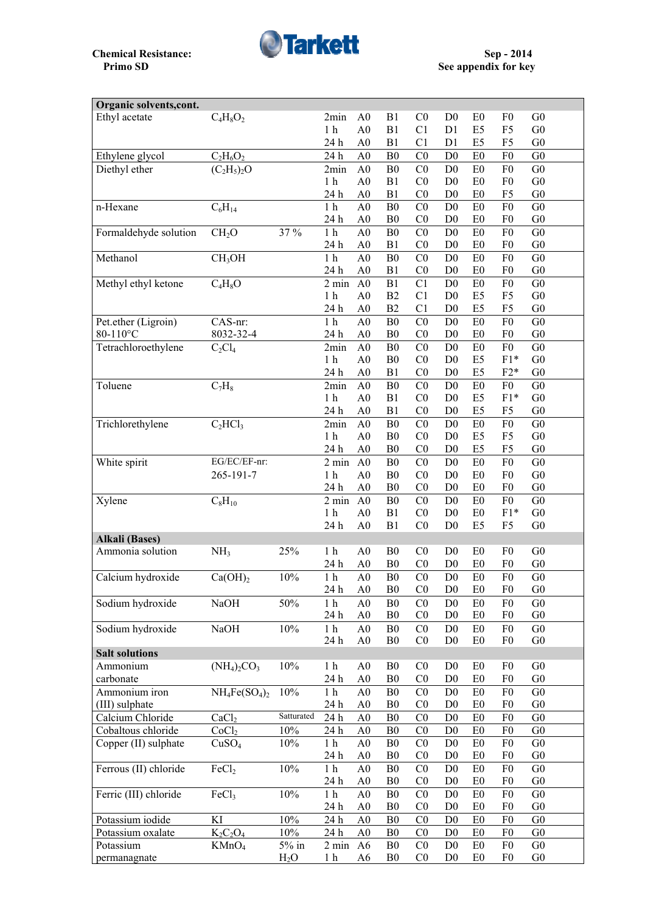

| Organic solvents, cont. |                     |                  |                    |                |                |                |                |                |                |                |
|-------------------------|---------------------|------------------|--------------------|----------------|----------------|----------------|----------------|----------------|----------------|----------------|
| Ethyl acetate           | $C_4H_8O_2$         |                  | 2min               | A <sub>0</sub> | B1             | C <sub>0</sub> | D <sub>0</sub> | E <sub>0</sub> | F <sub>0</sub> | G <sub>0</sub> |
|                         |                     |                  | 1 <sub>h</sub>     | A <sub>0</sub> | B1             | C1             | D1             | E <sub>5</sub> | F <sub>5</sub> | G <sub>0</sub> |
|                         |                     |                  | 24 h               | A <sub>0</sub> | B1             | C1             | D1             | E <sub>5</sub> | F <sub>5</sub> | G <sub>0</sub> |
| Ethylene glycol         | $C_2H_6O_2$         |                  | 24h                | A <sub>0</sub> | B <sub>0</sub> | CO             | D <sub>0</sub> | E <sub>0</sub> | F <sub>0</sub> | G <sub>0</sub> |
| Diethyl ether           | $(C_2H_5)_2O$       |                  | 2min               | A <sub>0</sub> | B <sub>0</sub> | CO             | D <sub>0</sub> | E <sub>0</sub> | F <sub>0</sub> | G <sub>0</sub> |
|                         |                     |                  | 1 <sub>h</sub>     | A <sub>0</sub> | B1             | C <sub>0</sub> | D <sub>0</sub> | E <sub>0</sub> | F <sub>0</sub> | G <sub>0</sub> |
|                         |                     |                  | 24 h               | A <sub>0</sub> | B1             | CO             | D <sub>0</sub> | E <sub>0</sub> | F <sub>5</sub> | G <sub>0</sub> |
| n-Hexane                | $C_6H_{14}$         |                  | 1 <sub>h</sub>     | A <sub>0</sub> | B <sub>0</sub> | C <sub>0</sub> | D <sub>0</sub> | E <sub>0</sub> | F <sub>0</sub> | G <sub>0</sub> |
|                         |                     |                  | 24 h               | A <sub>0</sub> | B <sub>0</sub> | CO             | D <sub>0</sub> | E <sub>0</sub> | F <sub>0</sub> | G <sub>0</sub> |
| Formaldehyde solution   | CH <sub>2</sub> O   | 37 %             | 1 <sub>h</sub>     | A <sub>0</sub> | B <sub>0</sub> | C <sub>0</sub> | D <sub>0</sub> | E <sub>0</sub> | F <sub>0</sub> | G <sub>0</sub> |
|                         |                     |                  | 24 h               | A <sub>0</sub> | B1             | CO             | D <sub>0</sub> | E <sub>0</sub> | F <sub>0</sub> | G <sub>0</sub> |
| Methanol                | CH <sub>3</sub> OH  |                  | 1 <sub>h</sub>     | A <sub>0</sub> | B <sub>0</sub> | CO             | D <sub>0</sub> | E0             | F <sub>0</sub> | G <sub>0</sub> |
|                         |                     |                  | 24 h               | A <sub>0</sub> | B1             | C <sub>0</sub> | D <sub>0</sub> | E <sub>0</sub> | F <sub>0</sub> | G <sub>0</sub> |
| Methyl ethyl ketone     | $C_4H_8O$           |                  | 2 min              | A <sub>0</sub> | B1             | C1             | D <sub>0</sub> | E <sub>0</sub> | F <sub>0</sub> | G <sub>0</sub> |
|                         |                     |                  | 1 <sub>h</sub>     | A <sub>0</sub> | B2             | C1             | D <sub>0</sub> | E <sub>5</sub> | F <sub>5</sub> | G <sub>0</sub> |
|                         |                     |                  | 24 h               | A <sub>0</sub> | B2             | C1             | D <sub>0</sub> | E <sub>5</sub> | F <sub>5</sub> | G <sub>0</sub> |
| Pet.ether (Ligroin)     | CAS-nr:             |                  | 1 <sub>h</sub>     | A <sub>0</sub> | B <sub>0</sub> | CO             | D <sub>0</sub> | E0             | F <sub>0</sub> | G <sub>0</sub> |
| 80-110°C                | 8032-32-4           |                  | 24 h               | A <sub>0</sub> | B <sub>0</sub> | C <sub>0</sub> | D <sub>0</sub> | E <sub>0</sub> | F <sub>0</sub> | G <sub>0</sub> |
| Tetrachloroethylene     | $C_2Cl_4$           |                  | 2min               | A <sub>0</sub> | B <sub>0</sub> | C <sub>0</sub> | D <sub>0</sub> | E <sub>0</sub> | F <sub>0</sub> | G <sub>0</sub> |
|                         |                     |                  | 1 <sub>h</sub>     | A <sub>0</sub> | B <sub>0</sub> | C <sub>0</sub> | D <sub>0</sub> | E <sub>5</sub> | $F1*$          | G <sub>0</sub> |
|                         |                     |                  | 24 h               | A <sub>0</sub> | B1             | C <sub>0</sub> | D <sub>0</sub> | E <sub>5</sub> | $F2*$          | G <sub>0</sub> |
| Toluene                 | $C_7H_8$            |                  | 2min               | A <sub>0</sub> | B <sub>0</sub> | C <sub>0</sub> | D <sub>0</sub> | E <sub>0</sub> | F <sub>0</sub> | G <sub>0</sub> |
|                         |                     |                  | 1 <sub>h</sub>     | A <sub>0</sub> | B1             | C <sub>0</sub> | D <sub>0</sub> | E <sub>5</sub> | $F1*$          | G <sub>0</sub> |
|                         |                     |                  | 24 h               | A <sub>0</sub> | B1             | C <sub>0</sub> | D <sub>0</sub> | E <sub>5</sub> | F <sub>5</sub> | G <sub>0</sub> |
| Trichlorethylene        | $C_2 HCl_3$         |                  | 2min               | A <sub>0</sub> | B <sub>0</sub> | C <sub>0</sub> | D <sub>0</sub> | E0             | F <sub>0</sub> | G <sub>0</sub> |
|                         |                     |                  | 1 <sub>h</sub>     | A <sub>0</sub> | B <sub>0</sub> | C <sub>0</sub> | D <sub>0</sub> | E <sub>5</sub> | F <sub>5</sub> | G <sub>0</sub> |
|                         |                     |                  | 24 h               | A <sub>0</sub> | B <sub>0</sub> | C <sub>0</sub> | D <sub>0</sub> | E5             | F <sub>5</sub> | G <sub>0</sub> |
| White spirit            | EG/EC/EF-nr:        |                  | $2 \text{ min}$    | A <sub>0</sub> | B <sub>0</sub> | C <sub>0</sub> | D <sub>0</sub> | E0             | F <sub>0</sub> | G <sub>0</sub> |
|                         | 265-191-7           |                  | 1 <sub>h</sub>     | A <sub>0</sub> | B <sub>0</sub> | C <sub>0</sub> | D <sub>0</sub> | E <sub>0</sub> | F <sub>0</sub> | G <sub>0</sub> |
|                         |                     |                  | 24 h               | A <sub>0</sub> | B <sub>0</sub> | C <sub>0</sub> | D <sub>0</sub> | E <sub>0</sub> | F <sub>0</sub> | G <sub>0</sub> |
| Xylene                  | $C_8H_{10}$         |                  | $\overline{2}$ min | A <sub>0</sub> | B <sub>0</sub> | C <sub>0</sub> | D <sub>0</sub> | E0             | ${\rm F0}$     | G <sub>0</sub> |
|                         |                     |                  | 1 <sub>h</sub>     | A <sub>0</sub> | B1             | C <sub>0</sub> | D <sub>0</sub> | E <sub>0</sub> | $F1*$          | G <sub>0</sub> |
|                         |                     |                  | 24 h               | A <sub>0</sub> | B1             | CO             | D <sub>0</sub> | E <sub>5</sub> | F <sub>5</sub> | G <sub>0</sub> |
| <b>Alkali</b> (Bases)   |                     |                  |                    |                |                |                |                |                |                |                |
| Ammonia solution        | NH <sub>3</sub>     | 25%              | 1 <sub>h</sub>     | A <sub>0</sub> | B <sub>0</sub> | C <sub>0</sub> | D <sub>0</sub> | E <sub>0</sub> | F <sub>0</sub> | G <sub>0</sub> |
|                         |                     |                  | 24 h               | A <sub>0</sub> | B <sub>0</sub> | C <sub>0</sub> | D <sub>0</sub> | E <sub>0</sub> | F <sub>0</sub> | G <sub>0</sub> |
| Calcium hydroxide       | Ca(OH) <sub>2</sub> | 10%              | 1 <sub>h</sub>     | A <sub>0</sub> | B <sub>0</sub> | C <sub>0</sub> | D <sub>0</sub> | E <sub>0</sub> | F <sub>0</sub> | G <sub>0</sub> |
|                         |                     |                  | 24 h               | A <sub>0</sub> | B <sub>0</sub> | C <sub>0</sub> | D <sub>0</sub> | E <sub>0</sub> | ${\rm F0}$     | G <sub>0</sub> |
| Sodium hydroxide        | <b>NaOH</b>         | 50%              | 1 <sub>h</sub>     | A <sub>0</sub> | B <sub>0</sub> | C <sub>0</sub> | D <sub>0</sub> | E <sub>0</sub> | F <sub>0</sub> | G <sub>0</sub> |
|                         |                     |                  | 24 h               | A <sub>0</sub> | B <sub>0</sub> | C <sub>0</sub> | D <sub>0</sub> | E <sub>0</sub> | F <sub>0</sub> | G <sub>0</sub> |
| Sodium hydroxide        | NaOH                | 10%              | 1 <sub>h</sub>     | A <sub>0</sub> | B <sub>0</sub> | C <sub>0</sub> | D <sub>0</sub> | E0             | F <sub>0</sub> | G <sub>0</sub> |
|                         |                     |                  | 24 h               | A <sub>0</sub> | B <sub>0</sub> | C <sub>0</sub> | D <sub>0</sub> | E <sub>0</sub> | F <sub>0</sub> | G <sub>0</sub> |
| <b>Salt solutions</b>   |                     |                  |                    |                |                |                |                |                |                |                |
| Ammonium                | $(NH_4)_2CO_3$      | 10%              | 1 <sub>h</sub>     | A <sub>0</sub> | B <sub>0</sub> | C <sub>0</sub> | D <sub>0</sub> | E <sub>0</sub> | F <sub>0</sub> | G <sub>0</sub> |
| carbonate               |                     |                  | 24 h               | A <sub>0</sub> | B <sub>0</sub> | C <sub>0</sub> | D <sub>0</sub> | ${\rm E0}$     | F <sub>0</sub> | G <sub>0</sub> |
| Ammonium iron           | $NH_4Fe(SO_4)_2$    | 10%              | 1 <sub>h</sub>     | A <sub>0</sub> | B <sub>0</sub> | C <sub>0</sub> | D <sub>0</sub> | E <sub>0</sub> | F <sub>0</sub> | G <sub>0</sub> |
| (III) sulphate          |                     |                  | 24 h               | A <sub>0</sub> | B <sub>0</sub> | C <sub>0</sub> | D <sub>0</sub> | E <sub>0</sub> | F <sub>0</sub> | G <sub>0</sub> |
| Calcium Chloride        | CaCl <sub>2</sub>   | Satturated       | 24 h               | A <sub>0</sub> | B <sub>0</sub> | C <sub>0</sub> | D <sub>0</sub> | E <sub>0</sub> | F <sub>0</sub> | G <sub>0</sub> |
| Cobaltous chloride      | CoCl <sub>2</sub>   | 10%              | 24 h               | A <sub>0</sub> | B <sub>0</sub> | C <sub>0</sub> | D <sub>0</sub> | E <sub>0</sub> | F <sub>0</sub> | G <sub>0</sub> |
| Copper (II) sulphate    | CuSO <sub>4</sub>   | 10%              | 1 <sub>h</sub>     | A <sub>0</sub> | B <sub>0</sub> | C <sub>0</sub> | D <sub>0</sub> | E <sub>0</sub> | F <sub>0</sub> | G <sub>0</sub> |
|                         |                     |                  | 24 h               | A <sub>0</sub> | B <sub>0</sub> | C <sub>0</sub> | D <sub>0</sub> | E <sub>0</sub> | F <sub>0</sub> | G <sub>0</sub> |
| Ferrous (II) chloride   | FeCl <sub>2</sub>   | 10%              | 1 <sub>h</sub>     | A <sub>0</sub> | B <sub>0</sub> | C <sub>0</sub> | D <sub>0</sub> | E <sub>0</sub> | F <sub>0</sub> | G <sub>0</sub> |
|                         |                     |                  | 24 h               | A <sub>0</sub> | B <sub>0</sub> | C <sub>0</sub> | D <sub>0</sub> | E <sub>0</sub> | F <sub>0</sub> | G <sub>0</sub> |
| Ferric (III) chloride   | FeCl <sub>3</sub>   | 10%              | 1 <sub>h</sub>     | A <sub>0</sub> | B <sub>0</sub> | C <sub>0</sub> | D <sub>0</sub> | E <sub>0</sub> | F <sub>0</sub> | G <sub>0</sub> |
|                         |                     |                  | 24 h               | ${\bf A0}$     | B <sub>0</sub> | C <sub>0</sub> | D <sub>0</sub> | E0             | F <sub>0</sub> | G <sub>0</sub> |
| Potassium iodide        | KI                  | 10%              | 24 h               | A <sub>0</sub> | B <sub>0</sub> | C <sub>0</sub> | D <sub>0</sub> | E <sub>0</sub> | F <sub>0</sub> | G <sub>0</sub> |
| Potassium oxalate       | $K_2C_2O_4$         | 10%              | 24 h               | A <sub>0</sub> | B <sub>0</sub> | C <sub>0</sub> | D <sub>0</sub> | E <sub>0</sub> | F <sub>0</sub> | G <sub>0</sub> |
| Potassium               | KMnO <sub>4</sub>   | $5\%$ in         | $2 \text{ min}$    | A <sub>6</sub> | B <sub>0</sub> | C <sub>0</sub> | D <sub>0</sub> | E0             | F <sub>0</sub> | G <sub>0</sub> |
| permanagnate            |                     | H <sub>2</sub> O | 1 <sub>h</sub>     | A <sub>6</sub> | B <sub>0</sub> | C <sub>0</sub> | D <sub>0</sub> | E0             | F <sub>0</sub> | G <sub>0</sub> |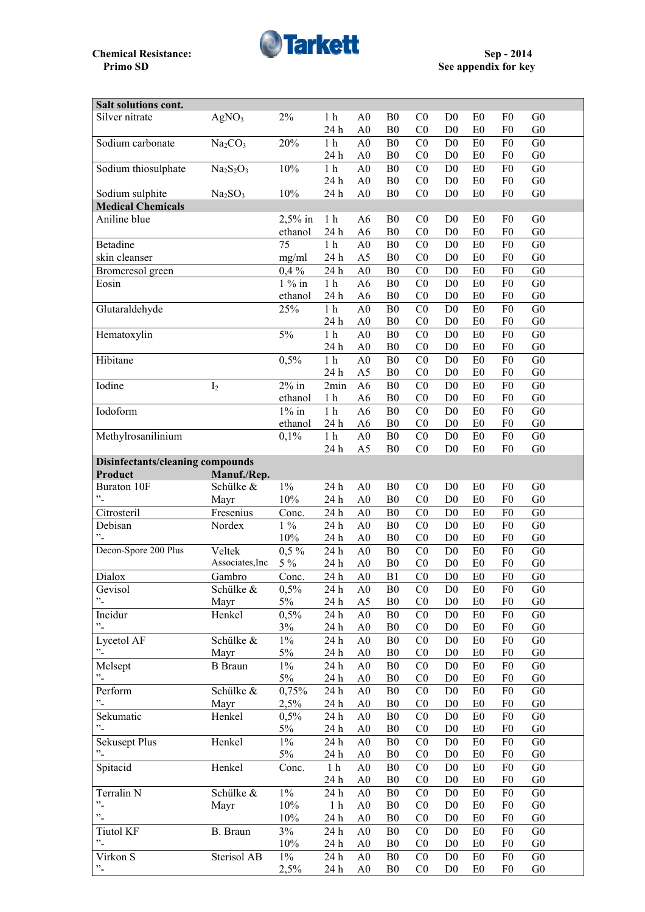

| Salt solutions cont.             |                                 |           |                 |                 |                |                                  |                                  |                      |                                  |                                  |  |
|----------------------------------|---------------------------------|-----------|-----------------|-----------------|----------------|----------------------------------|----------------------------------|----------------------|----------------------------------|----------------------------------|--|
| Silver nitrate                   | AgNO <sub>3</sub>               | 2%        | 1 <sub>h</sub>  | A <sub>0</sub>  | B <sub>0</sub> | CO                               | D <sub>0</sub>                   | E <sub>0</sub>       | F <sub>0</sub>                   | G <sub>0</sub>                   |  |
|                                  |                                 |           | 24 h            | A <sub>0</sub>  | B <sub>0</sub> | C <sub>0</sub>                   | D <sub>0</sub>                   | E <sub>0</sub>       | ${\rm F0}$                       | G <sub>0</sub>                   |  |
| Sodium carbonate                 | Na <sub>2</sub> CO <sub>3</sub> | 20%       | 1 <sub>h</sub>  | A <sub>0</sub>  | B <sub>0</sub> | C <sub>0</sub>                   | D <sub>0</sub>                   | E0                   | F <sub>0</sub>                   | G <sub>0</sub>                   |  |
|                                  |                                 |           | 24 h            | A <sub>0</sub>  | B <sub>0</sub> | C <sub>0</sub>                   | D <sub>0</sub>                   | E <sub>0</sub>       | F <sub>0</sub>                   | G <sub>0</sub>                   |  |
| Sodium thiosulphate              | $Na2S2O3$                       | 10%       | 1 <sub>h</sub>  | A <sub>0</sub>  | ${\bf B0}$     | C <sub>0</sub>                   | D <sub>0</sub>                   | E0                   | F <sub>0</sub>                   | G <sub>0</sub>                   |  |
|                                  |                                 |           | 24 h            | A <sub>0</sub>  | B <sub>0</sub> | CO                               | D <sub>0</sub>                   | E <sub>0</sub>       | F <sub>0</sub>                   | G <sub>0</sub>                   |  |
| Sodium sulphite                  | Na <sub>2</sub> SO <sub>3</sub> | 10%       | 24 h            | A <sub>0</sub>  | B <sub>0</sub> | C <sub>0</sub>                   | D <sub>0</sub>                   | E <sub>0</sub>       | F <sub>0</sub>                   | G <sub>0</sub>                   |  |
| <b>Medical Chemicals</b>         |                                 |           |                 |                 |                |                                  |                                  |                      |                                  |                                  |  |
| Aniline blue                     |                                 | $2,5%$ in | 1 <sub>h</sub>  | A6              | B <sub>0</sub> | C <sub>0</sub>                   | D <sub>0</sub>                   | E <sub>0</sub>       | F <sub>0</sub>                   | G <sub>0</sub>                   |  |
|                                  |                                 | ethanol   | 24 h            | A <sub>6</sub>  | B <sub>0</sub> | C <sub>0</sub>                   | D <sub>0</sub>                   | E <sub>0</sub>       | F <sub>0</sub>                   | G <sub>0</sub>                   |  |
| <b>Betadine</b>                  |                                 | 75        | $1h$            | A <sub>0</sub>  | B <sub>0</sub> | C <sub>0</sub>                   | D <sub>0</sub>                   | E <sub>0</sub>       | F <sub>0</sub>                   | G <sub>0</sub>                   |  |
| skin cleanser                    |                                 | mg/ml     |                 | A <sub>5</sub>  | B <sub>0</sub> | C <sub>0</sub>                   | D <sub>0</sub>                   | E <sub>0</sub>       | F <sub>0</sub>                   | G <sub>0</sub>                   |  |
|                                  |                                 |           | 24 h            |                 |                |                                  |                                  |                      |                                  |                                  |  |
| Bromcresol green                 |                                 | 0,4%      | 24 h            | A <sub>0</sub>  | B <sub>0</sub> | C <sub>0</sub>                   | D <sub>0</sub>                   | E <sub>0</sub>       | F <sub>0</sub>                   | G <sub>0</sub>                   |  |
| Eosin                            |                                 | $1\%$ in  | 1 <sub>h</sub>  | A <sub>6</sub>  | ${\bf B0}$     | C <sub>0</sub>                   | D <sub>0</sub>                   | E <sub>0</sub>       | F <sub>0</sub>                   | G <sub>0</sub>                   |  |
|                                  |                                 | ethanol   | 24 h            | A <sub>6</sub>  | B <sub>0</sub> | C <sub>0</sub>                   | D <sub>0</sub>                   | E <sub>0</sub>       | F <sub>0</sub>                   | G <sub>0</sub>                   |  |
| Glutaraldehyde                   |                                 | 25%       | $1h$            | $\overline{A0}$ | ${\bf B0}$     | $\overline{C}0$                  | D <sub>0</sub>                   | ${\rm E}0$           | F <sub>0</sub>                   | $\overline{G0}$                  |  |
|                                  |                                 |           | 24 h            | A <sub>0</sub>  | B <sub>0</sub> | C <sub>0</sub>                   | D <sub>0</sub>                   | E <sub>0</sub>       | F <sub>0</sub>                   | G <sub>0</sub>                   |  |
| Hematoxylin                      |                                 | 5%        | $1h$            | A <sub>0</sub>  | ${\bf B0}$     | C <sub>0</sub>                   | D <sub>0</sub>                   | E0                   | F <sub>0</sub>                   | G <sub>0</sub>                   |  |
|                                  |                                 |           | 24 h            | A <sub>0</sub>  | B <sub>0</sub> | C <sub>0</sub>                   | D <sub>0</sub>                   | E <sub>0</sub>       | F <sub>0</sub>                   | G <sub>0</sub>                   |  |
| Hibitane                         |                                 | 0,5%      | $1\ \mathrm{h}$ | A <sub>0</sub>  | ${\bf B0}$     | C <sub>0</sub>                   | D <sub>0</sub>                   | ${\rm E}0$           | F <sub>0</sub>                   | G <sub>0</sub>                   |  |
|                                  |                                 |           | 24 h            | A <sub>5</sub>  | B <sub>0</sub> | C <sub>0</sub>                   | D <sub>0</sub>                   | E <sub>0</sub>       | F <sub>0</sub>                   | G <sub>0</sub>                   |  |
| Iodine                           | I <sub>2</sub>                  | $2\%$ in  | 2min            | A6              | B <sub>0</sub> | C <sub>0</sub>                   | D <sub>0</sub>                   | E0                   | F <sub>0</sub>                   | G <sub>0</sub>                   |  |
|                                  |                                 | ethanol   | 1 <sub>h</sub>  | A <sub>6</sub>  | B <sub>0</sub> | C <sub>0</sub>                   | D <sub>0</sub>                   | E <sub>0</sub>       | F <sub>0</sub>                   | G <sub>0</sub>                   |  |
| Iodoform                         |                                 | $1\%$ in  | $1h$            | A <sub>6</sub>  | B <sub>0</sub> | C <sub>0</sub>                   | D <sub>0</sub>                   | E0                   | F <sub>0</sub>                   | G <sub>0</sub>                   |  |
|                                  |                                 | ethanol   | 24 h            | A <sub>6</sub>  | B <sub>0</sub> | CO                               | D <sub>0</sub>                   | E <sub>0</sub>       | F <sub>0</sub>                   | G <sub>0</sub>                   |  |
| Methylrosanilinium               |                                 | 0,1%      | 1 <sub>h</sub>  | A <sub>0</sub>  | ${\bf B0}$     | C <sub>0</sub>                   | D <sub>0</sub>                   | E0                   | F <sub>0</sub>                   | G <sub>0</sub>                   |  |
|                                  |                                 |           | 24 h            | A <sub>5</sub>  | B <sub>0</sub> | C <sub>0</sub>                   | D <sub>0</sub>                   | E <sub>0</sub>       | F <sub>0</sub>                   | G <sub>0</sub>                   |  |
| Disinfectants/cleaning compounds |                                 |           |                 |                 |                |                                  |                                  |                      |                                  |                                  |  |
| Product                          | Manuf./Rep.                     |           |                 |                 |                |                                  |                                  |                      |                                  |                                  |  |
| <b>Buraton 10F</b>               | Schülke &                       | $1\%$     | 24 h            | A <sub>0</sub>  | B <sub>0</sub> | CO                               | D <sub>0</sub>                   | E <sub>0</sub>       | F <sub>0</sub>                   | G <sub>0</sub>                   |  |
| "-                               | Mayr                            | 10%       | 24 h            | A <sub>0</sub>  | B <sub>0</sub> | C <sub>0</sub>                   | D <sub>0</sub>                   | E <sub>0</sub>       | F <sub>0</sub>                   | G <sub>0</sub>                   |  |
| Citrosteril                      | Fresenius                       | Conc.     | 24 h            | A <sub>0</sub>  | B <sub>0</sub> | C <sub>0</sub>                   | D <sub>0</sub>                   | E <sub>0</sub>       | F <sub>0</sub>                   | G <sub>0</sub>                   |  |
| Debisan                          | Nordex                          | $1\%$     | 24 h            | A <sub>0</sub>  | B <sub>0</sub> | C <sub>0</sub>                   | D <sub>0</sub>                   | E0                   | F <sub>0</sub>                   | G <sub>0</sub>                   |  |
| "-                               |                                 | 10%       | 24 h            | A <sub>0</sub>  | B <sub>0</sub> | C <sub>0</sub>                   | D <sub>0</sub>                   | E <sub>0</sub>       | F <sub>0</sub>                   | G <sub>0</sub>                   |  |
| Decon-Spore 200 Plus             | Veltek                          |           |                 |                 |                | C <sub>0</sub>                   |                                  |                      | F <sub>0</sub>                   | G <sub>0</sub>                   |  |
|                                  |                                 | $0,5\%$   | 24 h            | A <sub>0</sub>  | B <sub>0</sub> |                                  | D <sub>0</sub>                   | E <sub>0</sub>       |                                  |                                  |  |
|                                  | Associates, Inc                 | $5\%$     | 24 h            | A <sub>0</sub>  | B <sub>0</sub> | C <sub>0</sub>                   | D <sub>0</sub>                   | E <sub>0</sub>       | F <sub>0</sub>                   | G <sub>0</sub>                   |  |
| Dialox                           | Gambro                          | Conc.     | 24 h            | A <sub>0</sub>  | B1             | C <sub>0</sub>                   | D <sub>0</sub>                   | E0                   | F <sub>0</sub>                   | G <sub>0</sub>                   |  |
| Gevisol                          | Schülke &                       | 0,5%      | 24 h            | A <sub>0</sub>  | B <sub>0</sub> | C <sub>0</sub>                   | D <sub>0</sub>                   | E <sub>0</sub>       | F <sub>0</sub>                   | G <sub>0</sub>                   |  |
| $\cdot$                          | Mayr                            | 5%        | 24 h            | A <sub>5</sub>  | B <sub>0</sub> | C <sub>0</sub>                   | D <sub>0</sub>                   | E <sub>0</sub>       | F <sub>0</sub>                   | G <sub>0</sub>                   |  |
| Incidur                          | Henkel                          | 0,5%      | 24 h            | A <sub>0</sub>  | B <sub>0</sub> | C <sub>0</sub>                   | D <sub>0</sub>                   | E0                   | F <sub>0</sub>                   | G <sub>0</sub>                   |  |
| $\cdot$                          |                                 | 3%        | 24 h            | A <sub>0</sub>  | B <sub>0</sub> | C <sub>0</sub>                   | D <sub>0</sub>                   | E0                   | F <sub>0</sub>                   | G <sub>0</sub>                   |  |
| Lycetol AF                       | Schülke &                       | $1\%$     | 24 h            | A <sub>0</sub>  | B <sub>0</sub> | C <sub>0</sub>                   | D <sub>0</sub>                   | E0                   | F <sub>0</sub>                   | G <sub>0</sub>                   |  |
| $\mathbf{r}$                     | Mayr                            | $5\%$     | 24 h            | A <sub>0</sub>  | B <sub>0</sub> | C <sub>0</sub>                   | D <sub>0</sub>                   | E0                   | F <sub>0</sub>                   | G <sub>0</sub>                   |  |
| Melsept                          | <b>B</b> Braun                  | $1\%$     | 24 h            | A <sub>0</sub>  | B <sub>0</sub> | C <sub>0</sub>                   | D <sub>0</sub>                   | E <sub>0</sub>       | F <sub>0</sub>                   | G <sub>0</sub>                   |  |
| $\cdot$ .                        |                                 | 5%        | 24 h            | A <sub>0</sub>  | B <sub>0</sub> | C <sub>0</sub>                   | D <sub>0</sub>                   | E <sub>0</sub>       | F <sub>0</sub>                   | G <sub>0</sub>                   |  |
| Perform                          | Schülke &                       | 0,75%     | 24 h            | A <sub>0</sub>  | B <sub>0</sub> | C <sub>0</sub>                   | D <sub>0</sub>                   | E0                   | F <sub>0</sub>                   | G <sub>0</sub>                   |  |
| $\cdot$ .                        | Mayr                            | 2,5%      | 24 h            | A <sub>0</sub>  | B <sub>0</sub> | C <sub>0</sub>                   | D <sub>0</sub>                   | E <sub>0</sub>       | F <sub>0</sub>                   | G <sub>0</sub>                   |  |
| Sekumatic                        | Henkel                          | 0,5%      | 24 h            | A <sub>0</sub>  | B <sub>0</sub> | C <sub>0</sub>                   | D <sub>0</sub>                   | E0                   | F <sub>0</sub>                   | G <sub>0</sub>                   |  |
| $\cdot$                          |                                 | 5%        | 24 h            | A <sub>0</sub>  | B <sub>0</sub> | C <sub>0</sub>                   | D <sub>0</sub>                   | E <sub>0</sub>       | F <sub>0</sub>                   | G <sub>0</sub>                   |  |
| <b>Sekusept Plus</b>             | Henkel                          | $1\%$     | 24 h            | A <sub>0</sub>  | B <sub>0</sub> | C <sub>0</sub>                   | D <sub>0</sub>                   | E <sub>0</sub>       | F <sub>0</sub>                   | G <sub>0</sub>                   |  |
| $\mathbf{v}_{\perp}$             |                                 | $5\%$     | 24 h            | A <sub>0</sub>  | B <sub>0</sub> | C <sub>0</sub>                   | D <sub>0</sub>                   | E <sub>0</sub>       | F <sub>0</sub>                   | G <sub>0</sub>                   |  |
| Spitacid                         | Henkel                          | Conc.     | $1\ \mathrm{h}$ | A <sub>0</sub>  | B <sub>0</sub> | C <sub>0</sub>                   | D <sub>0</sub>                   | E <sub>0</sub>       | F <sub>0</sub>                   | G <sub>0</sub>                   |  |
|                                  |                                 |           | 24 h            | A <sub>0</sub>  | B <sub>0</sub> | C <sub>0</sub>                   | D <sub>0</sub>                   | E <sub>0</sub>       | F <sub>0</sub>                   | G <sub>0</sub>                   |  |
| Terralin N                       | Schülke &                       | $1\%$     | 24 h            | A <sub>0</sub>  | B <sub>0</sub> | C <sub>0</sub>                   | D <sub>0</sub>                   | E <sub>0</sub>       | F <sub>0</sub>                   | G <sub>0</sub>                   |  |
| $\cdot$                          | Mayr                            | 10%       | 1 <sub>h</sub>  | A <sub>0</sub>  | B <sub>0</sub> | C <sub>0</sub>                   | D <sub>0</sub>                   | E <sub>0</sub>       | F <sub>0</sub>                   | G <sub>0</sub>                   |  |
| $"$ -                            |                                 | 10%       | 24 h            | A <sub>0</sub>  | B <sub>0</sub> | C <sub>0</sub>                   | D <sub>0</sub>                   | E <sub>0</sub>       | F <sub>0</sub>                   | G <sub>0</sub>                   |  |
| <b>Tiutol KF</b>                 | B. Braun                        | 3%        | 24 h            | A <sub>0</sub>  | B <sub>0</sub> | C <sub>0</sub>                   | D <sub>0</sub>                   | E <sub>0</sub>       | F <sub>0</sub>                   | G <sub>0</sub>                   |  |
| "-                               |                                 | 10%       | 24 h            |                 |                |                                  |                                  |                      |                                  | G <sub>0</sub>                   |  |
|                                  |                                 |           |                 | A <sub>0</sub>  | B <sub>0</sub> | C <sub>0</sub>                   | D <sub>0</sub>                   | E <sub>0</sub>       | F <sub>0</sub>                   |                                  |  |
| Virkon S                         | Sterisol AB                     | $1\%$     | 24 h            | A <sub>0</sub>  | B <sub>0</sub> | C <sub>0</sub><br>C <sub>0</sub> | D <sub>0</sub><br>D <sub>0</sub> | E <sub>0</sub><br>E0 | F <sub>0</sub><br>F <sub>0</sub> | G <sub>0</sub><br>G <sub>0</sub> |  |
| $\cdot$                          |                                 | 2,5%      | 24 h            | A <sub>0</sub>  | B <sub>0</sub> |                                  |                                  |                      |                                  |                                  |  |